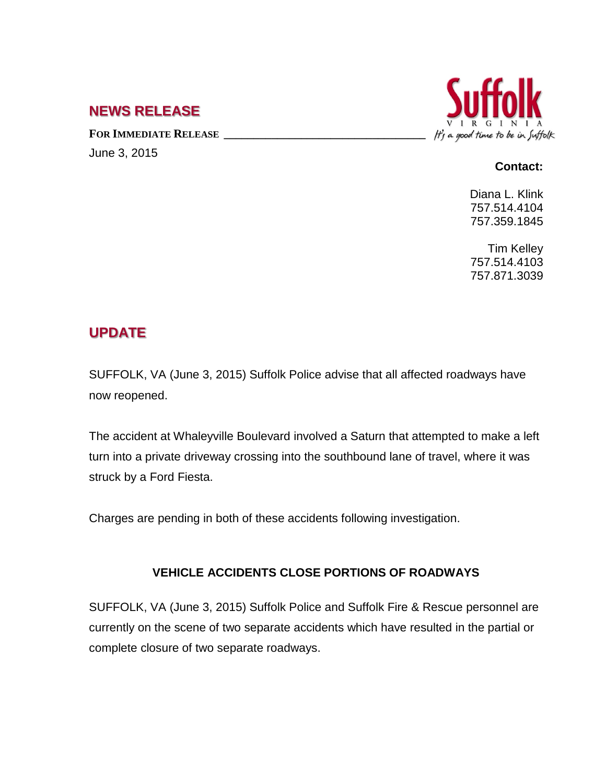## **NEWS RELEASE**

FOR IMMEDIATE RELEASE **\_\_\_\_\_\_\_\_\_\_\_\_\_\_\_\_\_\_\_\_** June 3, 2015



## **Contact:**

Diana L. Klink 757.514.4104 757.359.1845

Tim Kelley 757.514.4103 757.871.3039

## **UPDATE**

SUFFOLK, VA (June 3, 2015) Suffolk Police advise that all affected roadways have now reopened.

The accident at Whaleyville Boulevard involved a Saturn that attempted to make a left turn into a private driveway crossing into the southbound lane of travel, where it was struck by a Ford Fiesta.

Charges are pending in both of these accidents following investigation.

## **VEHICLE ACCIDENTS CLOSE PORTIONS OF ROADWAYS**

SUFFOLK, VA (June 3, 2015) Suffolk Police and Suffolk Fire & Rescue personnel are currently on the scene of two separate accidents which have resulted in the partial or complete closure of two separate roadways.